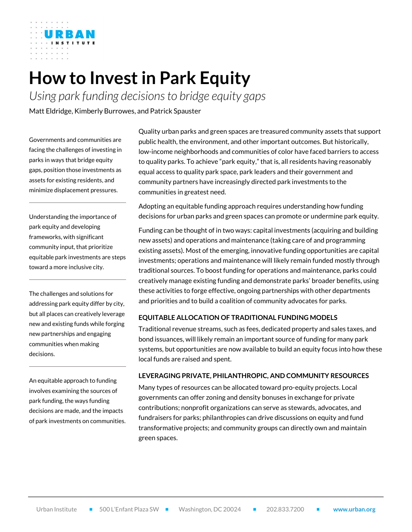

# **How to Invest in Park Equity**

*Using park funding decisions to bridge equity gaps* Matt Eldridge, Kimberly Burrowes, and Patrick Spauster

Governments and communities are facing the challenges of investing in parks in ways that bridge equity gaps, position those investments as assets for existing residents, and minimize displacement pressures.

Understanding the importance of park equity and developing frameworks, with significant community input, that prioritize equitable park investments are steps toward a more inclusive city.

The challenges and solutions for addressing park equity differ by city, but all places can creatively leverage new and existing funds while forging new partnerships and engaging communities when making decisions.

An equitable approach to funding involves examining the sources of park funding, the ways funding decisions are made, and the impacts of park investments on communities. Quality urban parks and green spaces are treasured community assets that support public health, the environment, and other important outcomes. But historically, low-income neighborhoods and communities of color have faced barriers to access to quality parks. To achieve "park equity," that is, all residents having reasonably equal access to quality park space, park leaders and their government and community partners have increasingly directed park investments to the communities in greatest need.

Adopting an equitable funding approach requires understanding how funding decisions for urban parks and green spaces can promote or undermine park equity.

Funding can be thought of in two ways: capital investments (acquiring and building new assets) and operations and maintenance (taking care of and programming existing assets). Most of the emerging, innovative funding opportunities are capital investments; operations and maintenance will likely remain funded mostly through traditional sources. To boost funding for operations and maintenance, parks could creatively manage existing funding and demonstrate parks' broader benefits, using these activities to forge effective, ongoing partnerships with other departments and priorities and to build a coalition of community advocates for parks.

## **EQUITABLE ALLOCATION OF TRADITIONAL FUNDING MODELS**

Traditional revenue streams, such as fees, dedicated property and sales taxes, and bond issuances, will likely remain an important source of funding for many park systems, but opportunities are now available to build an equity focus into how these local funds are raised and spent.

#### **LEVERAGING PRIVATE, PHILANTHROPIC, AND COMMUNITY RESOURCES**

Many types of resources can be allocated toward pro-equity projects. Local governments can offer zoning and density bonuses in exchange for private contributions; nonprofit organizations can serve as stewards, advocates, and fundraisers for parks; philanthropies can drive discussions on equity and fund transformative projects; and community groups can directly own and maintain green spaces.